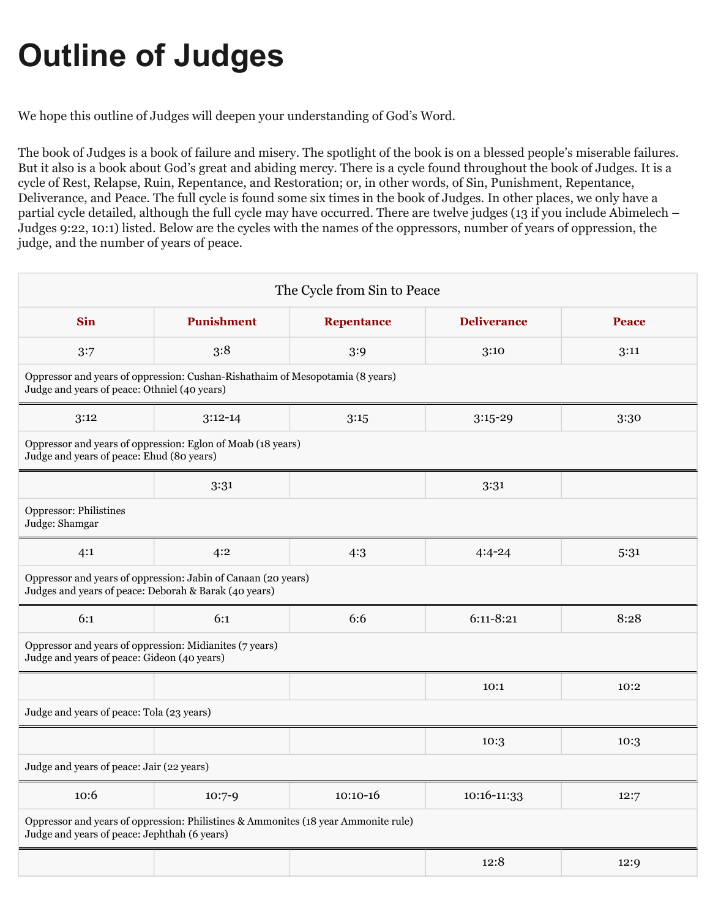# **Outline of Judges**

We hope this outline of Judges will deepen your understanding of God's Word.

The book of Judges is a book of failure and misery. The spotlight of the book is on a blessed people's miserable failures. But it also is a book about God's great and abiding mercy. There is a cycle found throughout the book of Judges. It is a cycle of Rest, Relapse, Ruin, Repentance, and Restoration; or, in other words, of Sin, Punishment, Repentance, Deliverance, and Peace. The full cycle is found some six times in the book of Judges. In other places, we only have a partial cycle detailed, although the full cycle may have occurred. There are twelve judges (13 if you include Abimelech – Judges 9:22, 10:1) listed. Below are the cycles with the names of the oppressors, number of years of oppression, the judge, and the number of years of peace.

| The Cycle from Sin to Peace                                                                                                        |                   |                   |                    |              |  |  |  |
|------------------------------------------------------------------------------------------------------------------------------------|-------------------|-------------------|--------------------|--------------|--|--|--|
| <b>Sin</b>                                                                                                                         | <b>Punishment</b> | <b>Repentance</b> | <b>Deliverance</b> | <b>Peace</b> |  |  |  |
| 3:7                                                                                                                                | 3:8               | 3:9               | 3:10               | 3:11         |  |  |  |
| Oppressor and years of oppression: Cushan-Rishathaim of Mesopotamia (8 years)<br>Judge and years of peace: Othniel (40 years)      |                   |                   |                    |              |  |  |  |
| 3:12                                                                                                                               | $3:12-14$         | 3:15              | $3:15-29$          | 3:30         |  |  |  |
| Oppressor and years of oppression: Eglon of Moab (18 years)<br>Judge and years of peace: Ehud (80 years)                           |                   |                   |                    |              |  |  |  |
|                                                                                                                                    | 3:31              |                   | 3:31               |              |  |  |  |
| <b>Oppressor: Philistines</b><br>Judge: Shamgar                                                                                    |                   |                   |                    |              |  |  |  |
| 4:1                                                                                                                                | 4:2               | 4:3               | $4:4-24$           | 5:31         |  |  |  |
| Oppressor and years of oppression: Jabin of Canaan (20 years)<br>Judges and years of peace: Deborah & Barak (40 years)             |                   |                   |                    |              |  |  |  |
| 6:1                                                                                                                                | 6:1               | 6:6               | $6:11 - 8:21$      | 8:28         |  |  |  |
| Oppressor and years of oppression: Midianites (7 years)<br>Judge and years of peace: Gideon (40 years)                             |                   |                   |                    |              |  |  |  |
|                                                                                                                                    |                   |                   | 10:1               | 10:2         |  |  |  |
| Judge and years of peace: Tola (23 years)                                                                                          |                   |                   |                    |              |  |  |  |
|                                                                                                                                    |                   |                   | 10:3               | 10:3         |  |  |  |
| Judge and years of peace: Jair (22 years)                                                                                          |                   |                   |                    |              |  |  |  |
| 10:6                                                                                                                               | $10:7-9$          | $10:10-16$        | 10:16-11:33        | 12:7         |  |  |  |
| Oppressor and years of oppression: Philistines & Ammonites (18 year Ammonite rule)<br>Judge and years of peace: Jephthah (6 years) |                   |                   |                    |              |  |  |  |
|                                                                                                                                    |                   |                   | 12:8               | 12:9         |  |  |  |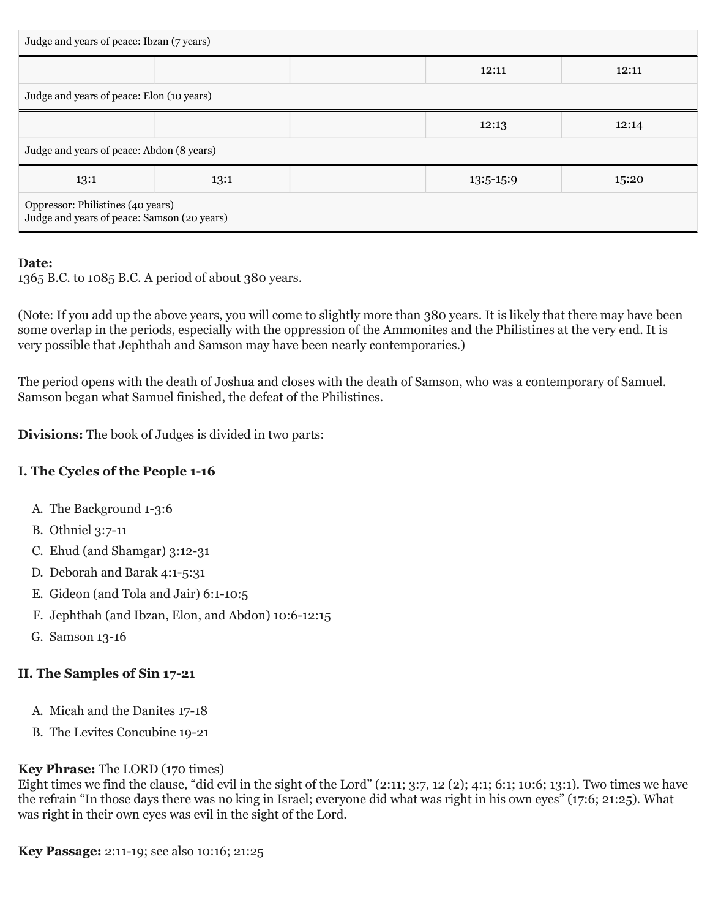| Judge and years of peace: Ibzan (7 years)                                        |      |  |             |       |  |  |
|----------------------------------------------------------------------------------|------|--|-------------|-------|--|--|
|                                                                                  |      |  | 12:11       | 12:11 |  |  |
| Judge and years of peace: Elon (10 years)                                        |      |  |             |       |  |  |
|                                                                                  |      |  | 12:13       | 12:14 |  |  |
| Judge and years of peace: Abdon (8 years)                                        |      |  |             |       |  |  |
| 13:1                                                                             | 13:1 |  | $13:5-15:9$ | 15:20 |  |  |
| Oppressor: Philistines (40 years)<br>Judge and years of peace: Samson (20 years) |      |  |             |       |  |  |

#### **Date:**

1365 B.C. to 1085 B.C. A period of about 380 years.

(Note: If you add up the above years, you will come to slightly more than 380 years. It is likely that there may have been some overlap in the periods, especially with the oppression of the Ammonites and the Philistines at the very end. It is very possible that Jephthah and Samson may have been nearly contemporaries.)

The period opens with the death of Joshua and closes with the death of Samson, who was a contemporary of Samuel. Samson began what Samuel finished, the defeat of the Philistines.

**Divisions:** The book of Judges is divided in two parts:

## **I. The Cycles of the People 1-16**

- A. The Background 1-3:6
- B. Othniel 3:7-11
- C. Ehud (and Shamgar) 3:12-31
- D. Deborah and Barak 4:1-5:31
- E. Gideon (and Tola and Jair) 6:1-10:5
- F. Jephthah (and Ibzan, Elon, and Abdon) 10:6-12:15
- G. Samson 13-16

## **II. The Samples of Sin 17-21**

- A. Micah and the Danites 17-18
- B. The Levites Concubine 19-21

#### **Key Phrase:** The LORD (170 times)

Eight times we find the clause, "did evil in the sight of the Lord" (2:11; 3:7, 12 (2); 4:1; 6:1; 10:6; 13:1). Two times we have the refrain "In those days there was no king in Israel; everyone did what was right in his own eyes" (17:6; 21:25). What was right in their own eyes was evil in the sight of the Lord.

**Key Passage:** 2:11-19; see also 10:16; 21:25